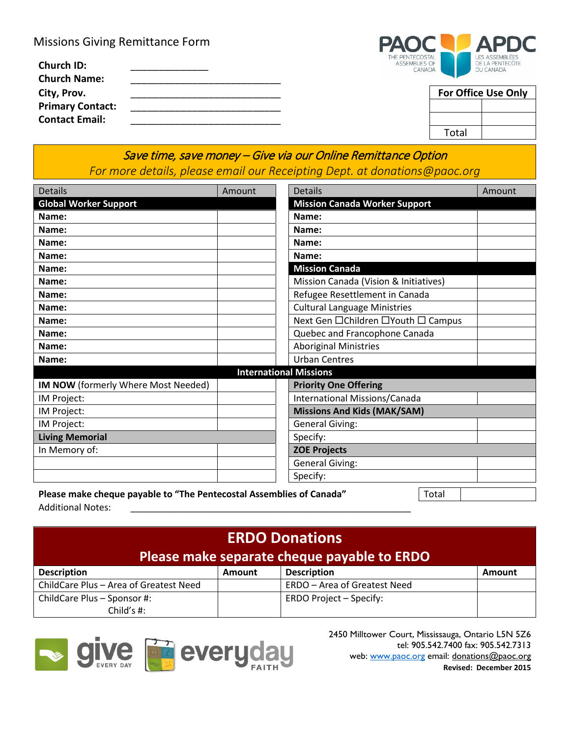Missions Giving Remittance Form

| <b>Church ID:</b><br><b>Church Name:</b> | THE FENTELUS IAL<br><b>ASSEMBLIES OF</b><br>CANADA | LED ADDEIVIDLEED<br>DE LA PENTECÔTE<br>DU CANADA |
|------------------------------------------|----------------------------------------------------|--------------------------------------------------|
| City, Prov.                              |                                                    | <b>For Office Use Only</b>                       |
| <b>Primary Contact:</b>                  |                                                    |                                                  |
| <b>Contact Email:</b>                    |                                                    |                                                  |



| For Office Use Only |  |  |  |  |
|---------------------|--|--|--|--|
|                     |  |  |  |  |
|                     |  |  |  |  |
| Total               |  |  |  |  |

## Save time, save money – Give via our Online Remittance Option *For more details, please email our Receipting Dept. at donations@paoc.org*

| <b>Details</b>                                                                | Amount |  | <b>Details</b>                        | Amount |  |  |  |
|-------------------------------------------------------------------------------|--------|--|---------------------------------------|--------|--|--|--|
| <b>Global Worker Support</b>                                                  |        |  | <b>Mission Canada Worker Support</b>  |        |  |  |  |
| Name:                                                                         |        |  | Name:                                 |        |  |  |  |
| Name:                                                                         |        |  | Name:                                 |        |  |  |  |
| Name:                                                                         |        |  | Name:                                 |        |  |  |  |
| Name:                                                                         |        |  | Name:                                 |        |  |  |  |
| Name:                                                                         |        |  | <b>Mission Canada</b>                 |        |  |  |  |
| Name:                                                                         |        |  | Mission Canada (Vision & Initiatives) |        |  |  |  |
| Name:                                                                         |        |  | Refugee Resettlement in Canada        |        |  |  |  |
| Name:                                                                         |        |  | <b>Cultural Language Ministries</b>   |        |  |  |  |
| Name:                                                                         |        |  | Next Gen □ Children □ Youth □ Campus  |        |  |  |  |
| Name:                                                                         |        |  | Quebec and Francophone Canada         |        |  |  |  |
| Name:                                                                         |        |  | <b>Aboriginal Ministries</b>          |        |  |  |  |
| Name:                                                                         |        |  | <b>Urban Centres</b>                  |        |  |  |  |
| <b>International Missions</b>                                                 |        |  |                                       |        |  |  |  |
| IM NOW (formerly Where Most Needed)                                           |        |  | <b>Priority One Offering</b>          |        |  |  |  |
| IM Project:                                                                   |        |  | International Missions/Canada         |        |  |  |  |
| IM Project:                                                                   |        |  | <b>Missions And Kids (MAK/SAM)</b>    |        |  |  |  |
| IM Project:                                                                   |        |  | <b>General Giving:</b>                |        |  |  |  |
| <b>Living Memorial</b>                                                        |        |  | Specify:                              |        |  |  |  |
| In Memory of:                                                                 |        |  | <b>ZOE Projects</b>                   |        |  |  |  |
|                                                                               |        |  | <b>General Giving:</b>                |        |  |  |  |
|                                                                               |        |  | Specify:                              |        |  |  |  |
| Please make cheque payable to "The Pentecostal Assemblies of Canada"<br>Total |        |  |                                       |        |  |  |  |

Additional Notes:

#### **ERDO Donations Please make separate cheque payable to ERDO Description Amount Description Amount Amount Amount** ChildCare Plus – Area of Greatest Need | ERDO – Area of Greatest Need ChildCare Plus – Sponsor #: Child's #: ERDO Project – Specify:



 2450 Milltower Court, Mississauga, Ontario L5N 5Z6 tel: 905.542.7400 fax: 905.542.7313 **Revised: December 2015**